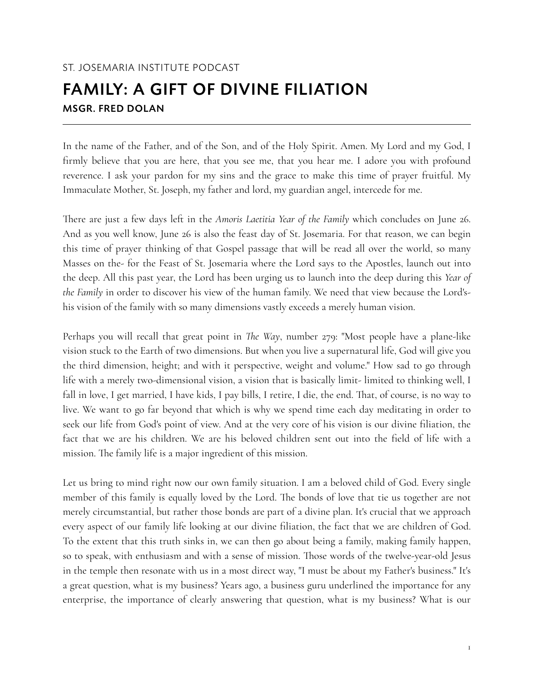## ST. JOSEMARIA INSTITUTE PODCAST FAMILY: A GIFT OF DIVINE FILIATION MSGR. FRED DOLAN

In the name of the Father, and of the Son, and of the Holy Spirit. Amen. My Lord and my God, I firmly believe that you are here, that you see me, that you hear me. I adore you with profound reverence. I ask your pardon for my sins and the grace to make this time of prayer fruitful. My Immaculate Mother, St. Joseph, my father and lord, my guardian angel, intercede for me.

There are just a few days left in the *Amoris Laetitia Year of the Family* which concludes on June 26. And as you well know, June 26 is also the feast day of St. Josemaria. For that reason, we can begin this time of prayer thinking of that Gospel passage that will be read all over the world, so many Masses on the- for the Feast of St. Josemaria where the Lord says to the Apostles, launch out into the deep. All this past year, the Lord has been urging us to launch into the deep during this *Year of the Family* in order to discover his view of the human family. We need that view because the Lord'shis vision of the family with so many dimensions vastly exceeds a merely human vision.

Perhaps you will recall that great point in *The Way*, number 279: "Most people have a plane-like vision stuck to the Earth of two dimensions. But when you live a supernatural life, God will give you the third dimension, height; and with it perspective, weight and volume." How sad to go through life with a merely two-dimensional vision, a vision that is basically limit- limited to thinking well, I fall in love, I get married, I have kids, I pay bills, I retire, I die, the end. That, of course, is no way to live. We want to go far beyond that which is why we spend time each day meditating in order to seek our life from God's point of view. And at the very core of his vision is our divine filiation, the fact that we are his children. We are his beloved children sent out into the field of life with a mission. The family life is a major ingredient of this mission.

Let us bring to mind right now our own family situation. I am a beloved child of God. Every single member of this family is equally loved by the Lord. The bonds of love that tie us together are not merely circumstantial, but rather those bonds are part of a divine plan. It's crucial that we approach every aspect of our family life looking at our divine filiation, the fact that we are children of God. To the extent that this truth sinks in, we can then go about being a family, making family happen, so to speak, with enthusiasm and with a sense of mission. Those words of the twelve-year-old Jesus in the temple then resonate with us in a most direct way, "I must be about my Father's business." It's a great question, what is my business? Years ago, a business guru underlined the importance for any enterprise, the importance of clearly answering that question, what is my business? What is our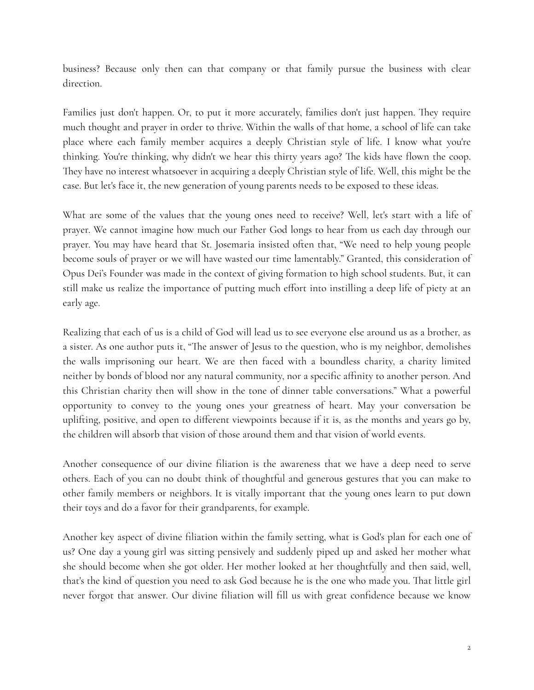business? Because only then can that company or that family pursue the business with clear direction.

Families just don't happen. Or, to put it more accurately, families don't just happen. They require much thought and prayer in order to thrive. Within the walls of that home, a school of life can take place where each family member acquires a deeply Christian style of life. I know what you're thinking. You're thinking, why didn't we hear this thirty years ago? The kids have flown the coop. They have no interest whatsoever in acquiring a deeply Christian style of life. Well, this might be the case. But let's face it, the new generation of young parents needs to be exposed to these ideas.

What are some of the values that the young ones need to receive? Well, let's start with a life of prayer. We cannot imagine how much our Father God longs to hear from us each day through our prayer. You may have heard that St. Josemaria insisted often that, "We need to help young people become souls of prayer or we will have wasted our time lamentably." Granted, this consideration of Opus Dei's Founder was made in the context of giving formation to high school students. But, it can still make us realize the importance of putting much effort into instilling a deep life of piety at an early age.

Realizing that each of us is a child of God will lead us to see everyone else around us as a brother, as a sister. As one author puts it, "The answer of Jesus to the question, who is my neighbor, demolishes the walls imprisoning our heart. We are then faced with a boundless charity, a charity limited neither by bonds of blood nor any natural community, nor a specific affinity to another person. And this Christian charity then will show in the tone of dinner table conversations." What a powerful opportunity to convey to the young ones your greatness of heart. May your conversation be uplifting, positive, and open to different viewpoints because if it is, as the months and years go by, the children will absorb that vision of those around them and that vision of world events.

Another consequence of our divine filiation is the awareness that we have a deep need to serve others. Each of you can no doubt think of thoughtful and generous gestures that you can make to other family members or neighbors. It is vitally important that the young ones learn to put down their toys and do a favor for their grandparents, for example.

Another key aspect of divine filiation within the family setting, what is God's plan for each one of us? One day a young girl was sitting pensively and suddenly piped up and asked her mother what she should become when she got older. Her mother looked at her thoughtfully and then said, well, that's the kind of question you need to ask God because he is the one who made you. That little girl never forgot that answer. Our divine filiation will fill us with great confidence because we know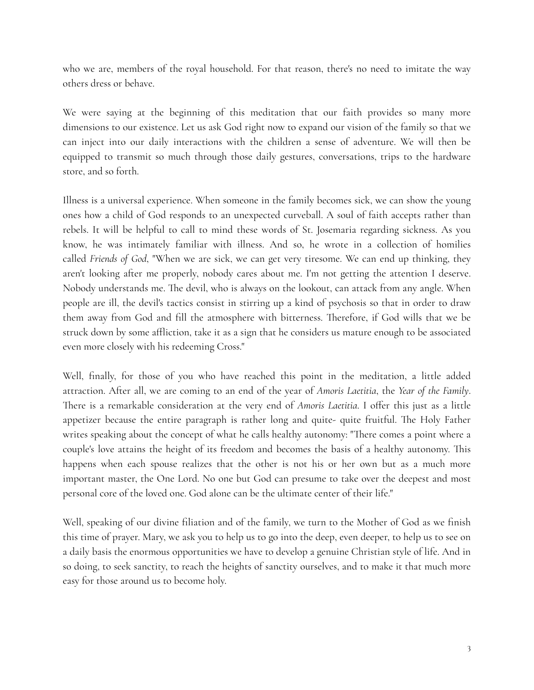who we are, members of the royal household. For that reason, there's no need to imitate the way others dress or behave.

We were saying at the beginning of this meditation that our faith provides so many more dimensions to our existence. Let us ask God right now to expand our vision of the family so that we can inject into our daily interactions with the children a sense of adventure. We will then be equipped to transmit so much through those daily gestures, conversations, trips to the hardware store, and so forth.

Illness is a universal experience. When someone in the family becomes sick, we can show the young ones how a child of God responds to an unexpected curveball. A soul of faith accepts rather than rebels. It will be helpful to call to mind these words of St. Josemaria regarding sickness. As you know, he was intimately familiar with illness. And so, he wrote in a collection of homilies called *Friends of God*, "When we are sick, we can get very tiresome. We can end up thinking, they aren't looking after me properly, nobody cares about me. I'm not getting the attention I deserve. Nobody understands me. The devil, who is always on the lookout, can attack from any angle. When people are ill, the devil's tactics consist in stirring up a kind of psychosis so that in order to draw them away from God and fill the atmosphere with bitterness. Therefore, if God wills that we be struck down by some affliction, take it as a sign that he considers us mature enough to be associated even more closely with his redeeming Cross."

Well, finally, for those of you who have reached this point in the meditation, a little added attraction. After all, we are coming to an end of the year of *Amoris Laetitia*, the *Year of the Family*. There is a remarkable consideration at the very end of *Amoris Laetitia*. I offer this just as a little appetizer because the entire paragraph is rather long and quite- quite fruitful. The Holy Father writes speaking about the concept of what he calls healthy autonomy: "There comes a point where a couple's love attains the height of its freedom and becomes the basis of a healthy autonomy. This happens when each spouse realizes that the other is not his or her own but as a much more important master, the One Lord. No one but God can presume to take over the deepest and most personal core of the loved one. God alone can be the ultimate center of their life."

Well, speaking of our divine filiation and of the family, we turn to the Mother of God as we finish this time of prayer. Mary, we ask you to help us to go into the deep, even deeper, to help us to see on a daily basis the enormous opportunities we have to develop a genuine Christian style of life. And in so doing, to seek sanctity, to reach the heights of sanctity ourselves, and to make it that much more easy for those around us to become holy.